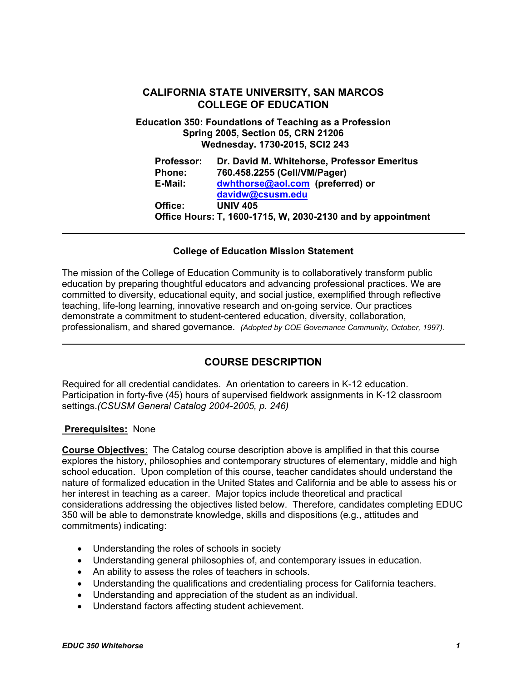# **CALIFORNIA STATE UNIVERSITY, SAN MARCOS COLLEGE OF EDUCATION**

**Education 350: Foundations of Teaching as a Profession Spring 2005, Section 05, CRN 21206 Wednesday. 1730-2015, SCI2 243** 

| <b>Professor:</b> | Dr. David M. Whitehorse, Professor Emeritus                 |
|-------------------|-------------------------------------------------------------|
| <b>Phone:</b>     | 760.458.2255 (Cell/VM/Pager)                                |
| E-Mail:           | dwhthorse@aol.com (preferred) or                            |
|                   | davidw@csusm.edu                                            |
| Office:           | <b>UNIV 405</b>                                             |
|                   | Office Hours: T, 1600-1715, W, 2030-2130 and by appointment |

## **College of Education Mission Statement**

The mission of the College of Education Community is to collaboratively transform public education by preparing thoughtful educators and advancing professional practices. We are committed to diversity, educational equity, and social justice, exemplified through reflective teaching, life-long learning, innovative research and on-going service. Our practices demonstrate a commitment to student-centered education, diversity, collaboration, professionalism, and shared governance. *(Adopted by COE Governance Community, October, 1997).* 

# **COURSE DESCRIPTION**

Required for all credential candidates. An orientation to careers in K-12 education. Participation in forty-five (45) hours of supervised fieldwork assignments in K-12 classroom settings.*(CSUSM General Catalog 2004-2005, p. 246)* 

#### **Prerequisites:** None

**Course Objectives**: The Catalog course description above is amplified in that this course explores the history, philosophies and contemporary structures of elementary, middle and high school education. Upon completion of this course, teacher candidates should understand the nature of formalized education in the United States and California and be able to assess his or her interest in teaching as a career. Major topics include theoretical and practical considerations addressing the objectives listed below. Therefore, candidates completing EDUC 350 will be able to demonstrate knowledge, skills and dispositions (e.g., attitudes and commitments) indicating:

- Understanding the roles of schools in society
- Understanding general philosophies of, and contemporary issues in education.
- An ability to assess the roles of teachers in schools.
- Understanding the qualifications and credentialing process for California teachers.
- Understanding and appreciation of the student as an individual.
- Understand factors affecting student achievement.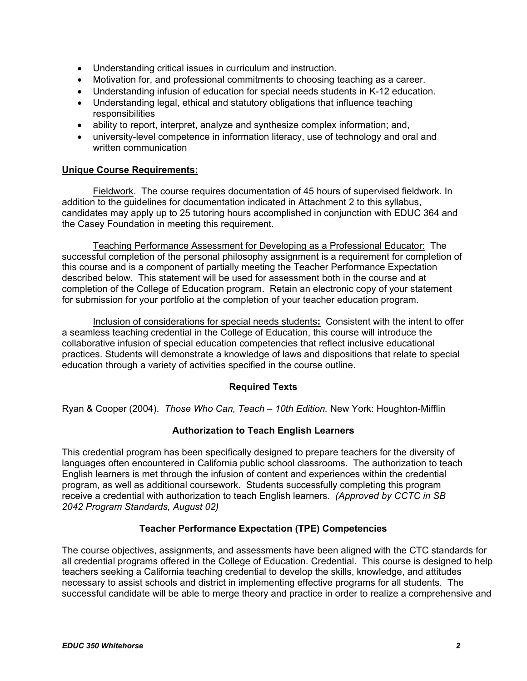- Understanding critical issues in curriculum and instruction.
- Motivation for, and professional commitments to choosing teaching as a career.
- Understanding infusion of education for special needs students in K-12 education.
- Understanding legal, ethical and statutory obligations that influence teaching responsibilities
- ability to report, interpret, analyze and synthesize complex information; and,
- university-level competence in information literacy, use of technology and oral and written communication

## **Unique Course Requirements:**

Fieldwork. The course requires documentation of 45 hours of supervised fieldwork. In addition to the guidelines for documentation indicated in Attachment 2 to this syllabus, candidates may apply up to 25 tutoring hours accomplished in conjunction with EDUC 364 and the Casey Foundation in meeting this requirement.

Teaching Performance Assessment for Developing as a Professional Educator: The successful completion of the personal philosophy assignment is a requirement for completion of this course and is a component of partially meeting the Teacher Performance Expectation described below. This statement will be used for assessment both in the course and at completion of the College of Education program. Retain an electronic copy of your statement for submission for your portfolio at the completion of your teacher education program.

Inclusion of considerations for special needs students**:** Consistent with the intent to offer a seamless teaching credential in the College of Education, this course will introduce the collaborative infusion of special education competencies that reflect inclusive educational practices. Students will demonstrate a knowledge of laws and dispositions that relate to special education through a variety of activities specified in the course outline.

## **Required Texts**

Ryan & Cooper (2004). *Those Who Can, Teach – 10th Edition.* New York: Houghton-Mifflin

## **Authorization to Teach English Learners**

This credential program has been specifically designed to prepare teachers for the diversity of languages often encountered in California public school classrooms. The authorization to teach English learners is met through the infusion of content and experiences within the credential program, as well as additional coursework. Students successfully completing this program receive a credential with authorization to teach English learners. *(Approved by CCTC in SB 2042 Program Standards, August 02)*

## **Teacher Performance Expectation (TPE) Competencies**

The course objectives, assignments, and assessments have been aligned with the CTC standards for all credential programs offered in the College of Education. Credential. This course is designed to help teachers seeking a California teaching credential to develop the skills, knowledge, and attitudes necessary to assist schools and district in implementing effective programs for all students. The successful candidate will be able to merge theory and practice in order to realize a comprehensive and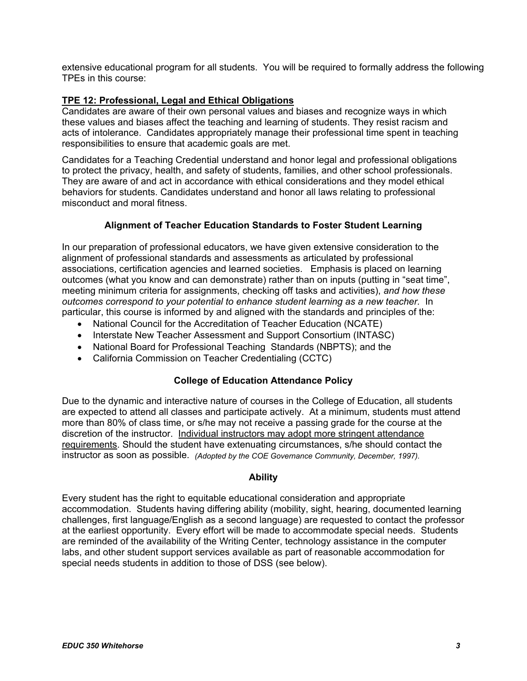extensive educational program for all students. You will be required to formally address the following TPEs in this course:

## **TPE 12: Professional, Legal and Ethical Obligations**

Candidates are aware of their own personal values and biases and recognize ways in which these values and biases affect the teaching and learning of students. They resist racism and acts of intolerance. Candidates appropriately manage their professional time spent in teaching responsibilities to ensure that academic goals are met.

Candidates for a Teaching Credential understand and honor legal and professional obligations to protect the privacy, health, and safety of students, families, and other school professionals. They are aware of and act in accordance with ethical considerations and they model ethical behaviors for students. Candidates understand and honor all laws relating to professional misconduct and moral fitness.

## **Alignment of Teacher Education Standards to Foster Student Learning**

In our preparation of professional educators, we have given extensive consideration to the alignment of professional standards and assessments as articulated by professional associations, certification agencies and learned societies. Emphasis is placed on learning outcomes (what you know and can demonstrate) rather than on inputs (putting in "seat time", meeting minimum criteria for assignments, checking off tasks and activities), *and how these outcomes correspond to your potential to enhance student learning as a new teacher.* In particular, this course is informed by and aligned with the standards and principles of the:

- National Council for the Accreditation of Teacher Education (NCATE)
- Interstate New Teacher Assessment and Support Consortium (INTASC)
- National Board for Professional Teaching Standards (NBPTS); and the
- California Commission on Teacher Credentialing (CCTC)

#### **College of Education Attendance Policy**

Due to the dynamic and interactive nature of courses in the College of Education, all students are expected to attend all classes and participate actively. At a minimum, students must attend more than 80% of class time, or s/he may not receive a passing grade for the course at the discretion of the instructor. Individual instructors may adopt more stringent attendance requirements. Should the student have extenuating circumstances, s/he should contact the instructor as soon as possible. *(Adopted by the COE Governance Community, December, 1997).*

#### **Ability**

Every student has the right to equitable educational consideration and appropriate accommodation. Students having differing ability (mobility, sight, hearing, documented learning challenges, first language/English as a second language) are requested to contact the professor at the earliest opportunity. Every effort will be made to accommodate special needs. Students are reminded of the availability of the Writing Center, technology assistance in the computer labs, and other student support services available as part of reasonable accommodation for special needs students in addition to those of DSS (see below).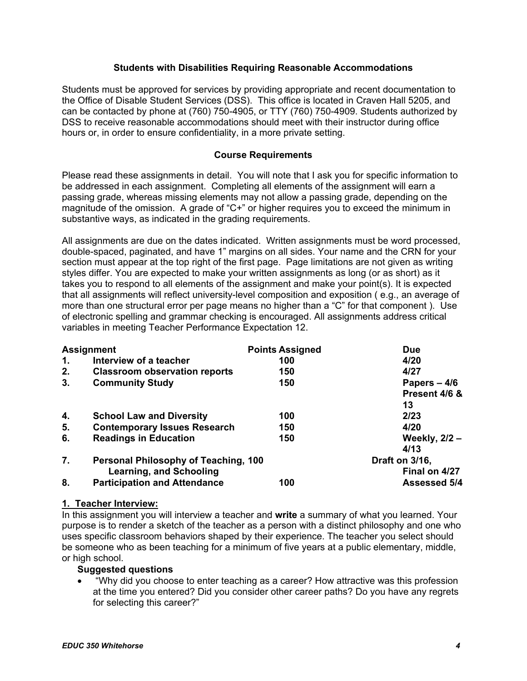## **Students with Disabilities Requiring Reasonable Accommodations**

Students must be approved for services by providing appropriate and recent documentation to the Office of Disable Student Services (DSS). This office is located in Craven Hall 5205, and can be contacted by phone at (760) 750-4905, or TTY (760) 750-4909. Students authorized by DSS to receive reasonable accommodations should meet with their instructor during office hours or, in order to ensure confidentiality, in a more private setting.

## **Course Requirements**

Please read these assignments in detail. You will note that I ask you for specific information to be addressed in each assignment. Completing all elements of the assignment will earn a passing grade, whereas missing elements may not allow a passing grade, depending on the magnitude of the omission. A grade of "C+" or higher requires you to exceed the minimum in substantive ways, as indicated in the grading requirements.

All assignments are due on the dates indicated. Written assignments must be word processed, double-spaced, paginated, and have 1" margins on all sides. Your name and the CRN for your section must appear at the top right of the first page. Page limitations are not given as writing styles differ. You are expected to make your written assignments as long (or as short) as it takes you to respond to all elements of the assignment and make your point(s). It is expected that all assignments will reflect university-level composition and exposition ( e.g., an average of more than one structural error per page means no higher than a "C" for that component ). Use of electronic spelling and grammar checking is encouraged. All assignments address critical variables in meeting Teacher Performance Expectation 12.

|                | <b>Assignment</b>                           | <b>Points Assigned</b> | <b>Due</b>           |
|----------------|---------------------------------------------|------------------------|----------------------|
| $\mathbf{1}$ . | Interview of a teacher                      | 100                    | 4/20                 |
| 2.             | <b>Classroom observation reports</b>        | 150                    | 4/27                 |
| 3.             | <b>Community Study</b>                      | 150                    | Papers $-4/6$        |
|                |                                             |                        | Present 4/6 &        |
|                |                                             |                        | 13                   |
| 4.             | <b>School Law and Diversity</b>             | 100                    | 2/23                 |
| 5.             | <b>Contemporary Issues Research</b>         | 150                    | 4/20                 |
| 6.             | <b>Readings in Education</b>                | 150                    | <b>Weekly, 2/2 -</b> |
|                |                                             |                        | 4/13                 |
| 7.             | <b>Personal Philosophy of Teaching, 100</b> |                        | Draft on 3/16,       |
|                | <b>Learning, and Schooling</b>              |                        | Final on 4/27        |
| 8.             | <b>Participation and Attendance</b>         | 100                    | <b>Assessed 5/4</b>  |

#### **1. Teacher Interview:**

In this assignment you will interview a teacher and **write** a summary of what you learned. Your purpose is to render a sketch of the teacher as a person with a distinct philosophy and one who uses specific classroom behaviors shaped by their experience. The teacher you select should be someone who as been teaching for a minimum of five years at a public elementary, middle, or high school.

## **Suggested questions**

• "Why did you choose to enter teaching as a career? How attractive was this profession at the time you entered? Did you consider other career paths? Do you have any regrets for selecting this career?"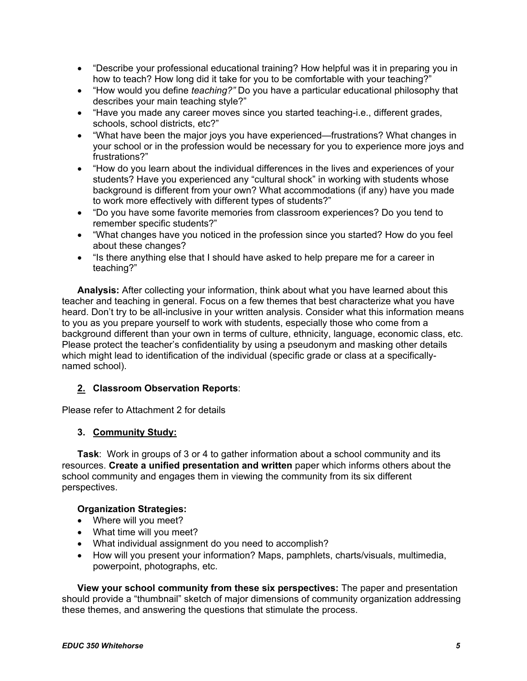- "Describe your professional educational training? How helpful was it in preparing you in how to teach? How long did it take for you to be comfortable with your teaching?"
- "How would you define *teaching?"* Do you have a particular educational philosophy that describes your main teaching style?"
- "Have you made any career moves since you started teaching-i.e., different grades, schools, school districts, etc?"
- "What have been the major joys you have experienced—frustrations? What changes in your school or in the profession would be necessary for you to experience more joys and frustrations?"
- "How do you learn about the individual differences in the lives and experiences of your students? Have you experienced any "cultural shock" in working with students whose background is different from your own? What accommodations (if any) have you made to work more effectively with different types of students?"
- "Do you have some favorite memories from classroom experiences? Do you tend to remember specific students?"
- "What changes have you noticed in the profession since you started? How do you feel about these changes?
- "Is there anything else that I should have asked to help prepare me for a career in teaching?"

**Analysis:** After collecting your information, think about what you have learned about this teacher and teaching in general. Focus on a few themes that best characterize what you have heard. Don't try to be all-inclusive in your written analysis. Consider what this information means to you as you prepare yourself to work with students, especially those who come from a background different than your own in terms of culture, ethnicity, language, economic class, etc. Please protect the teacher's confidentiality by using a pseudonym and masking other details which might lead to identification of the individual (specific grade or class at a specificallynamed school).

# **2. Classroom Observation Reports**:

Please refer to Attachment 2 for details

# **3. Community Study:**

**Task**: Work in groups of 3 or 4 to gather information about a school community and its resources. **Create a unified presentation and written** paper which informs others about the school community and engages them in viewing the community from its six different perspectives.

## **Organization Strategies:**

- Where will you meet?
- What time will you meet?
- What individual assignment do you need to accomplish?
- How will you present your information? Maps, pamphlets, charts/visuals, multimedia, powerpoint, photographs, etc.

**View your school community from these six perspectives:** The paper and presentation should provide a "thumbnail" sketch of major dimensions of community organization addressing these themes, and answering the questions that stimulate the process.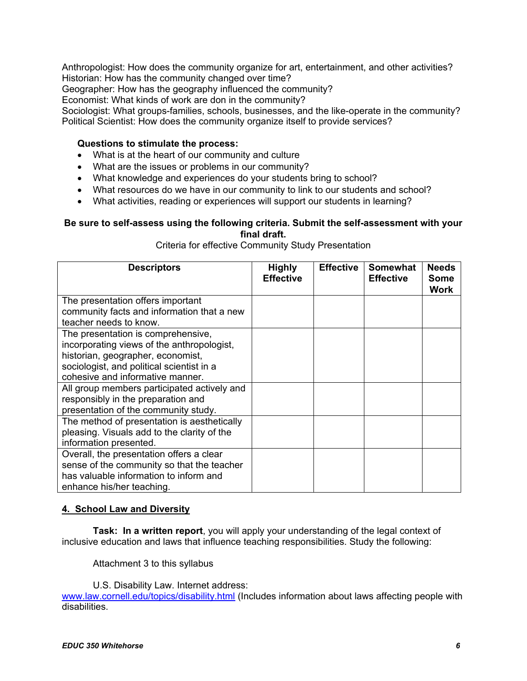Anthropologist: How does the community organize for art, entertainment, and other activities? Historian: How has the community changed over time?

Geographer: How has the geography influenced the community?

Economist: What kinds of work are don in the community?

Sociologist: What groups-families, schools, businesses, and the like-operate in the community? Political Scientist: How does the community organize itself to provide services?

## **Questions to stimulate the process:**

- What is at the heart of our community and culture
- What are the issues or problems in our community?
- What knowledge and experiences do your students bring to school?
- What resources do we have in our community to link to our students and school?
- What activities, reading or experiences will support our students in learning?

#### **Be sure to self-assess using the following criteria. Submit the self-assessment with your final draft.**

Criteria for effective Community Study Presentation

| <b>Descriptors</b>                                                             | <b>Highly</b><br><b>Effective</b> | <b>Effective</b> | <b>Somewhat</b><br><b>Effective</b> | <b>Needs</b><br><b>Some</b><br>Work |
|--------------------------------------------------------------------------------|-----------------------------------|------------------|-------------------------------------|-------------------------------------|
| The presentation offers important                                              |                                   |                  |                                     |                                     |
| community facts and information that a new<br>teacher needs to know.           |                                   |                  |                                     |                                     |
| The presentation is comprehensive,                                             |                                   |                  |                                     |                                     |
| incorporating views of the anthropologist,                                     |                                   |                  |                                     |                                     |
| historian, geographer, economist,<br>sociologist, and political scientist in a |                                   |                  |                                     |                                     |
| cohesive and informative manner.                                               |                                   |                  |                                     |                                     |
| All group members participated actively and                                    |                                   |                  |                                     |                                     |
| responsibly in the preparation and<br>presentation of the community study.     |                                   |                  |                                     |                                     |
| The method of presentation is aesthetically                                    |                                   |                  |                                     |                                     |
| pleasing. Visuals add to the clarity of the                                    |                                   |                  |                                     |                                     |
| information presented.                                                         |                                   |                  |                                     |                                     |
| Overall, the presentation offers a clear                                       |                                   |                  |                                     |                                     |
| sense of the community so that the teacher                                     |                                   |                  |                                     |                                     |
| has valuable information to inform and                                         |                                   |                  |                                     |                                     |
| enhance his/her teaching.                                                      |                                   |                  |                                     |                                     |

#### **4. School Law and Diversity**

**Task: In a written report**, you will apply your understanding of the legal context of inclusive education and laws that influence teaching responsibilities. Study the following:

Attachment 3 to this syllabus

U.S. Disability Law. Internet address: www.law.cornell.edu/topics/disability.html (Includes information about laws affecting people with disabilities.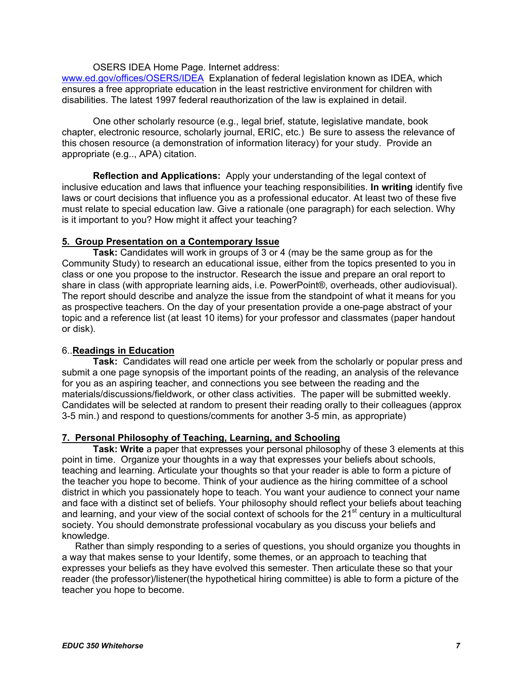#### OSERS IDEA Home Page. Internet address:

www.ed.gov/offices/OSERS/IDEA Explanation of federal legislation known as IDEA, which ensures a free appropriate education in the least restrictive environment for children with disabilities. The latest 1997 federal reauthorization of the law is explained in detail.

 One other scholarly resource (e.g., legal brief, statute, legislative mandate, book chapter, electronic resource, scholarly journal, ERIC, etc.) Be sure to assess the relevance of this chosen resource (a demonstration of information literacy) for your study. Provide an appropriate (e.g.., APA) citation.

**Reflection and Applications:** Apply your understanding of the legal context of inclusive education and laws that influence your teaching responsibilities. **In writing** identify five laws or court decisions that influence you as a professional educator. At least two of these five must relate to special education law. Give a rationale (one paragraph) for each selection. Why is it important to you? How might it affect your teaching?

## **5. Group Presentation on a Contemporary Issue**

**Task:** Candidates will work in groups of 3 or 4 (may be the same group as for the Community Study) to research an educational issue, either from the topics presented to you in class or one you propose to the instructor. Research the issue and prepare an oral report to share in class (with appropriate learning aids, i.e. PowerPoint®, overheads, other audiovisual). The report should describe and analyze the issue from the standpoint of what it means for you as prospective teachers. On the day of your presentation provide a one-page abstract of your topic and a reference list (at least 10 items) for your professor and classmates (paper handout or disk).

## 6..**Readings in Education**

**Task:** Candidates will read one article per week from the scholarly or popular press and submit a one page synopsis of the important points of the reading, an analysis of the relevance for you as an aspiring teacher, and connections you see between the reading and the materials/discussions/fieldwork, or other class activities. The paper will be submitted weekly. Candidates will be selected at random to present their reading orally to their colleagues (approx 3-5 min.) and respond to questions/comments for another 3-5 min, as appropriate)

## **7. Personal Philosophy of Teaching, Learning, and Schooling**

**Task: Write** a paper that expresses your personal philosophy of these 3 elements at this point in time. Organize your thoughts in a way that expresses your beliefs about schools, teaching and learning. Articulate your thoughts so that your reader is able to form a picture of the teacher you hope to become. Think of your audience as the hiring committee of a school district in which you passionately hope to teach. You want your audience to connect your name and face with a distinct set of beliefs. Your philosophy should reflect your beliefs about teaching and learning, and your view of the social context of schools for the  $21<sup>st</sup>$  century in a multicultural society. You should demonstrate professional vocabulary as you discuss your beliefs and knowledge.

 Rather than simply responding to a series of questions, you should organize you thoughts in a way that makes sense to your Identify, some themes, or an approach to teaching that expresses your beliefs as they have evolved this semester. Then articulate these so that your reader (the professor)/listener(the hypothetical hiring committee) is able to form a picture of the teacher you hope to become.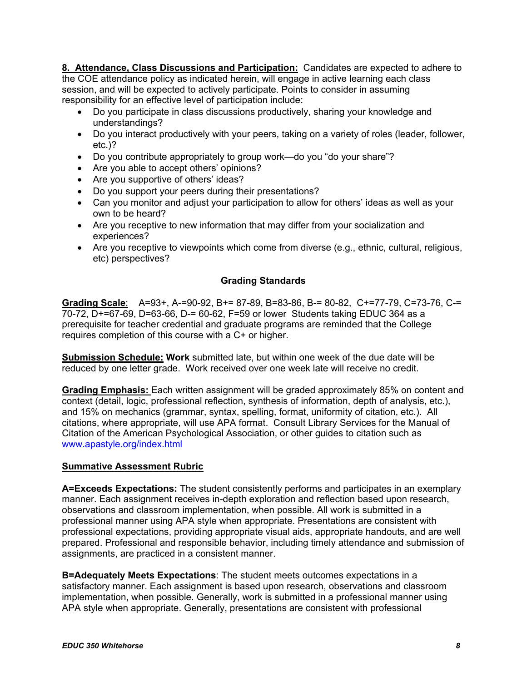**8. Attendance, Class Discussions and Participation:** Candidates are expected to adhere to the COE attendance policy as indicated herein, will engage in active learning each class session, and will be expected to actively participate. Points to consider in assuming responsibility for an effective level of participation include:

- Do you participate in class discussions productively, sharing your knowledge and understandings?
- Do you interact productively with your peers, taking on a variety of roles (leader, follower, etc.)?
- Do you contribute appropriately to group work—do you "do your share"?
- Are you able to accept others' opinions?
- Are you supportive of others' ideas?
- Do you support your peers during their presentations?
- Can you monitor and adjust your participation to allow for others' ideas as well as your own to be heard?
- Are you receptive to new information that may differ from your socialization and experiences?
- Are you receptive to viewpoints which come from diverse (e.g., ethnic, cultural, religious, etc) perspectives?

## **Grading Standards**

**Grading Scale**: A=93+, A-=90-92, B+= 87-89, B=83-86, B-= 80-82, C+=77-79, C=73-76, C-= 70-72, D+=67-69, D=63-66, D-= 60-62, F=59 or lower Students taking EDUC 364 as a prerequisite for teacher credential and graduate programs are reminded that the College requires completion of this course with a C+ or higher.

**Submission Schedule: Work** submitted late, but within one week of the due date will be reduced by one letter grade. Work received over one week late will receive no credit.

**Grading Emphasis:** Each written assignment will be graded approximately 85% on content and context (detail, logic, professional reflection, synthesis of information, depth of analysis, etc.), and 15% on mechanics (grammar, syntax, spelling, format, uniformity of citation, etc.). All citations, where appropriate, will use APA format. Consult Library Services for the Manual of Citation of the American Psychological Association, or other guides to citation such as www.apastyle.org/index.html

## **Summative Assessment Rubric**

**A=Exceeds Expectations:** The student consistently performs and participates in an exemplary manner. Each assignment receives in-depth exploration and reflection based upon research, observations and classroom implementation, when possible. All work is submitted in a professional manner using APA style when appropriate. Presentations are consistent with professional expectations, providing appropriate visual aids, appropriate handouts, and are well prepared. Professional and responsible behavior, including timely attendance and submission of assignments, are practiced in a consistent manner.

**B=Adequately Meets Expectations**: The student meets outcomes expectations in a satisfactory manner. Each assignment is based upon research, observations and classroom implementation, when possible. Generally, work is submitted in a professional manner using APA style when appropriate. Generally, presentations are consistent with professional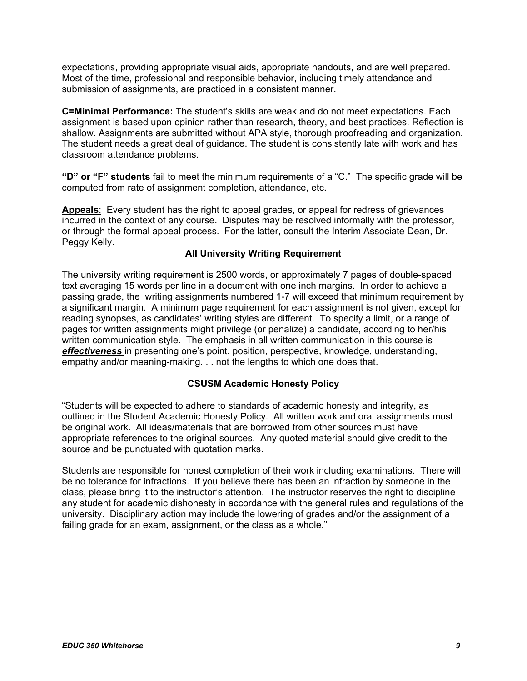expectations, providing appropriate visual aids, appropriate handouts, and are well prepared. Most of the time, professional and responsible behavior, including timely attendance and submission of assignments, are practiced in a consistent manner.

**C=Minimal Performance:** The student's skills are weak and do not meet expectations. Each assignment is based upon opinion rather than research, theory, and best practices. Reflection is shallow. Assignments are submitted without APA style, thorough proofreading and organization. The student needs a great deal of guidance. The student is consistently late with work and has classroom attendance problems.

**"D" or "F" students** fail to meet the minimum requirements of a "C." The specific grade will be computed from rate of assignment completion, attendance, etc.

**Appeals**: Every student has the right to appeal grades, or appeal for redress of grievances incurred in the context of any course. Disputes may be resolved informally with the professor, or through the formal appeal process. For the latter, consult the Interim Associate Dean, Dr. Peggy Kelly.

## **All University Writing Requirement**

The university writing requirement is 2500 words, or approximately 7 pages of double-spaced text averaging 15 words per line in a document with one inch margins. In order to achieve a passing grade, the writing assignments numbered 1-7 will exceed that minimum requirement by a significant margin. A minimum page requirement for each assignment is not given, except for reading synopses, as candidates' writing styles are different. To specify a limit, or a range of pages for written assignments might privilege (or penalize) a candidate, according to her/his written communication style. The emphasis in all written communication in this course is *effectiveness* in presenting one's point, position, perspective, knowledge, understanding, empathy and/or meaning-making. . . not the lengths to which one does that.

## **CSUSM Academic Honesty Policy**

"Students will be expected to adhere to standards of academic honesty and integrity, as outlined in the Student Academic Honesty Policy. All written work and oral assignments must be original work. All ideas/materials that are borrowed from other sources must have appropriate references to the original sources. Any quoted material should give credit to the source and be punctuated with quotation marks.

Students are responsible for honest completion of their work including examinations. There will be no tolerance for infractions. If you believe there has been an infraction by someone in the class, please bring it to the instructor's attention. The instructor reserves the right to discipline any student for academic dishonesty in accordance with the general rules and regulations of the university. Disciplinary action may include the lowering of grades and/or the assignment of a failing grade for an exam, assignment, or the class as a whole."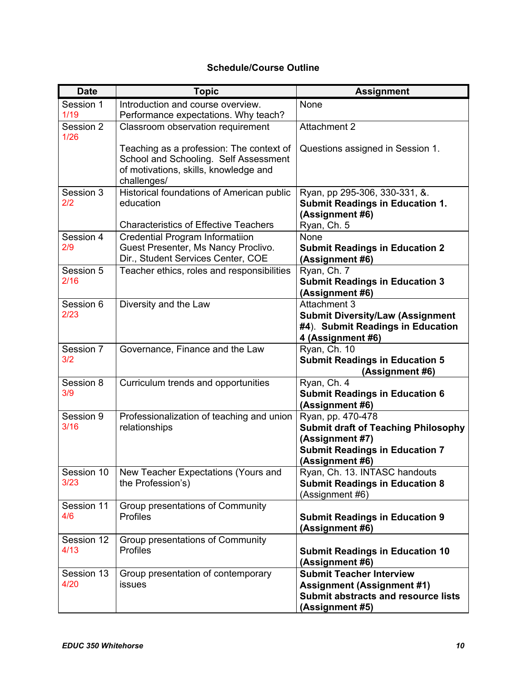# **Schedule/Course Outline**

| <b>Date</b>        | <b>Topic</b>                                                                                                                              | <b>Assignment</b>                                                                                                                              |
|--------------------|-------------------------------------------------------------------------------------------------------------------------------------------|------------------------------------------------------------------------------------------------------------------------------------------------|
| Session 1<br>1/19  | Introduction and course overview.<br>Performance expectations. Why teach?                                                                 | None                                                                                                                                           |
| Session 2<br>1/26  | Classroom observation requirement                                                                                                         | Attachment 2                                                                                                                                   |
|                    | Teaching as a profession: The context of<br>School and Schooling. Self Assessment<br>of motivations, skills, knowledge and<br>challenges/ | Questions assigned in Session 1.                                                                                                               |
| Session 3<br>2/2   | Historical foundations of American public<br>education<br><b>Characteristics of Effective Teachers</b>                                    | Ryan, pp 295-306, 330-331, &.<br><b>Submit Readings in Education 1.</b><br>(Assignment #6)<br>Ryan, Ch. 5                                      |
| Session 4          | <b>Credential Program Informatiion</b>                                                                                                    | None                                                                                                                                           |
| 2/9                | Guest Presenter, Ms Nancy Proclivo.<br>Dir., Student Services Center, COE                                                                 | <b>Submit Readings in Education 2</b><br>(Assignment #6)                                                                                       |
| Session 5<br>2/16  | Teacher ethics, roles and responsibilities                                                                                                | Ryan, Ch. 7<br><b>Submit Readings in Education 3</b><br>(Assignment #6)                                                                        |
| Session 6<br>2/23  | Diversity and the Law                                                                                                                     | Attachment 3<br><b>Submit Diversity/Law (Assignment</b><br>#4). Submit Readings in Education<br>4 (Assignment #6)                              |
| Session 7<br>3/2   | Governance, Finance and the Law                                                                                                           | Ryan, Ch. 10<br><b>Submit Readings in Education 5</b><br>(Assignment #6)                                                                       |
| Session 8<br>3/9   | Curriculum trends and opportunities                                                                                                       | Ryan, Ch. 4<br><b>Submit Readings in Education 6</b><br>(Assignment #6)                                                                        |
| Session 9<br>3/16  | Professionalization of teaching and union<br>relationships                                                                                | Ryan, pp. 470-478<br><b>Submit draft of Teaching Philosophy</b><br>(Assignment #7)<br><b>Submit Readings in Education 7</b><br>(Assignment #6) |
| Session 10<br>3/23 | New Teacher Expectations (Yours and<br>the Profession's)                                                                                  | Ryan, Ch. 13. INTASC handouts<br><b>Submit Readings in Education 8</b><br>(Assignment #6)                                                      |
| Session 11<br>4/6  | Group presentations of Community<br><b>Profiles</b>                                                                                       | <b>Submit Readings in Education 9</b><br>(Assignment #6)                                                                                       |
| Session 12<br>4/13 | Group presentations of Community<br><b>Profiles</b>                                                                                       | <b>Submit Readings in Education 10</b><br>(Assignment #6)                                                                                      |
| Session 13<br>4/20 | Group presentation of contemporary<br>issues                                                                                              | <b>Submit Teacher Interview</b><br><b>Assignment (Assignment #1)</b><br><b>Submit abstracts and resource lists</b><br>(Assignment #5)          |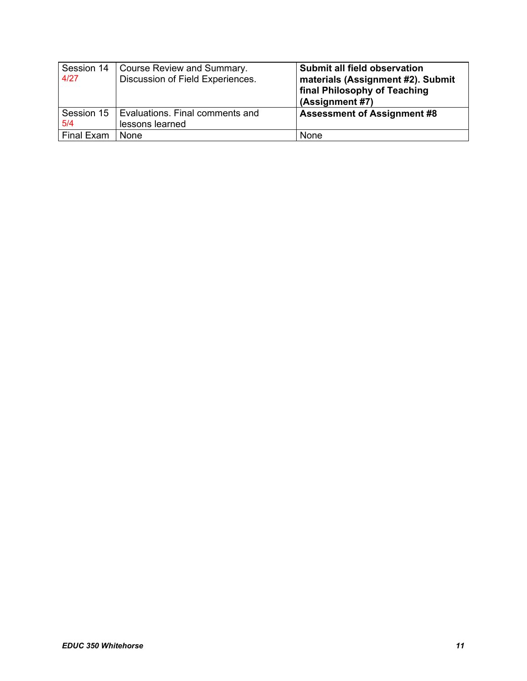| Session 14<br>4/27 | Course Review and Summary.<br>Discussion of Field Experiences. | Submit all field observation<br>materials (Assignment #2). Submit<br>final Philosophy of Teaching<br>(Assignment #7) |
|--------------------|----------------------------------------------------------------|----------------------------------------------------------------------------------------------------------------------|
| Session 15<br>5/4  | Evaluations. Final comments and<br>lessons learned             | <b>Assessment of Assignment #8</b>                                                                                   |
| Final Exam         | None                                                           | None                                                                                                                 |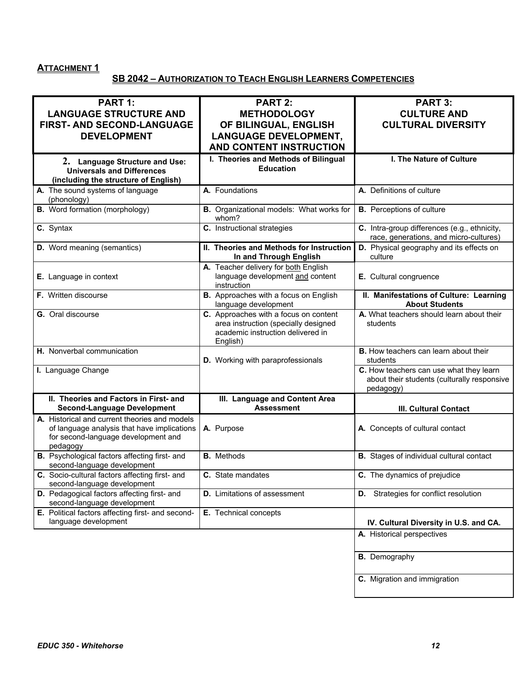# **ATTACHMENT 1**

# **SB 2042 – AUTHORIZATION TO TEACH ENGLISH LEARNERS COMPETENCIES**

| <b>PART 1:</b>                                                                               |                                                               |                                                                                        |
|----------------------------------------------------------------------------------------------|---------------------------------------------------------------|----------------------------------------------------------------------------------------|
|                                                                                              | <b>PART 2:</b>                                                | <b>PART 3:</b>                                                                         |
| <b>LANGUAGE STRUCTURE AND</b>                                                                | <b>METHODOLOGY</b>                                            | <b>CULTURE AND</b>                                                                     |
| FIRST- AND SECOND-LANGUAGE                                                                   | OF BILINGUAL, ENGLISH                                         | <b>CULTURAL DIVERSITY</b>                                                              |
| <b>DEVELOPMENT</b>                                                                           | <b>LANGUAGE DEVELOPMENT,</b>                                  |                                                                                        |
|                                                                                              | AND CONTENT INSTRUCTION                                       |                                                                                        |
| 2. Language Structure and Use:                                                               | I. Theories and Methods of Bilingual                          | I. The Nature of Culture                                                               |
| <b>Universals and Differences</b>                                                            | <b>Education</b>                                              |                                                                                        |
| (including the structure of English)                                                         |                                                               |                                                                                        |
| A. The sound systems of language                                                             | A. Foundations                                                | A. Definitions of culture                                                              |
| (phonology)                                                                                  |                                                               |                                                                                        |
| <b>B.</b> Word formation (morphology)                                                        | B. Organizational models: What works for<br>whom?             | <b>B.</b> Perceptions of culture                                                       |
| C. Syntax                                                                                    | C. Instructional strategies                                   | C. Intra-group differences (e.g., ethnicity,<br>race, generations, and micro-cultures) |
| <b>D.</b> Word meaning (semantics)                                                           | II. Theories and Methods for Instruction                      | D. Physical geography and its effects on                                               |
|                                                                                              | In and Through English                                        | culture                                                                                |
|                                                                                              | A. Teacher delivery for both English                          |                                                                                        |
| E. Language in context                                                                       | language development and content                              | E. Cultural congruence                                                                 |
| F. Written discourse                                                                         | instruction                                                   | II. Manifestations of Culture: Learning                                                |
|                                                                                              | B. Approaches with a focus on English<br>language development | <b>About Students</b>                                                                  |
| <b>G.</b> Oral discourse                                                                     | C. Approaches with a focus on content                         | A. What teachers should learn about their                                              |
|                                                                                              | area instruction (specially designed                          | students                                                                               |
|                                                                                              | academic instruction delivered in<br>English)                 |                                                                                        |
| H. Nonverbal communication                                                                   |                                                               | <b>B.</b> How teachers can learn about their                                           |
|                                                                                              | D. Working with paraprofessionals                             | students                                                                               |
| I. Language Change                                                                           |                                                               | C. How teachers can use what they learn                                                |
|                                                                                              |                                                               | about their students (culturally responsive                                            |
|                                                                                              |                                                               | pedagogy)                                                                              |
| II. Theories and Factors in First- and<br><b>Second-Language Development</b>                 | III. Language and Content Area<br><b>Assessment</b>           |                                                                                        |
|                                                                                              |                                                               | <b>III. Cultural Contact</b>                                                           |
| A. Historical and current theories and models<br>of language analysis that have implications | A. Purpose                                                    | A. Concepts of cultural contact                                                        |
| for second-language development and                                                          |                                                               |                                                                                        |
| pedagogy                                                                                     |                                                               |                                                                                        |
| B. Psychological factors affecting first- and<br>second-language development                 | <b>B.</b> Methods                                             | <b>B.</b> Stages of individual cultural contact                                        |
| C. Socio-cultural factors affecting first- and                                               | <b>C.</b> State mandates                                      | C. The dynamics of prejudice                                                           |
| second-language development                                                                  |                                                               |                                                                                        |
| D. Pedagogical factors affecting first- and<br>second-language development                   | <b>D.</b> Limitations of assessment                           | <b>D.</b> Strategies for conflict resolution                                           |
| E. Political factors affecting first- and second-                                            | E. Technical concepts                                         |                                                                                        |
| language development                                                                         |                                                               | IV. Cultural Diversity in U.S. and CA.                                                 |
|                                                                                              |                                                               | A. Historical perspectives                                                             |
|                                                                                              |                                                               |                                                                                        |
|                                                                                              |                                                               | <b>B.</b> Demography                                                                   |
|                                                                                              |                                                               |                                                                                        |
|                                                                                              |                                                               | C. Migration and immigration                                                           |
|                                                                                              |                                                               |                                                                                        |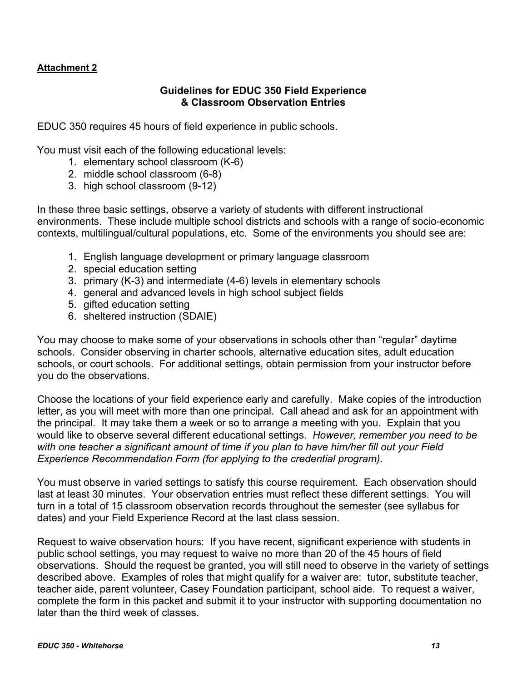# **Attachment 2**

# **Guidelines for EDUC 350 Field Experience & Classroom Observation Entries**

EDUC 350 requires 45 hours of field experience in public schools.

You must visit each of the following educational levels:

- 1. elementary school classroom (K-6)
- 2. middle school classroom (6-8)
- 3. high school classroom (9-12)

In these three basic settings, observe a variety of students with different instructional environments. These include multiple school districts and schools with a range of socio-economic contexts, multilingual/cultural populations, etc. Some of the environments you should see are:

- 1. English language development or primary language classroom
- 2. special education setting
- 3. primary (K-3) and intermediate (4-6) levels in elementary schools
- 4. general and advanced levels in high school subject fields
- 5. gifted education setting
- 6. sheltered instruction (SDAIE)

You may choose to make some of your observations in schools other than "regular" daytime schools. Consider observing in charter schools, alternative education sites, adult education schools, or court schools. For additional settings, obtain permission from your instructor before you do the observations.

Choose the locations of your field experience early and carefully. Make copies of the introduction letter, as you will meet with more than one principal. Call ahead and ask for an appointment with the principal. It may take them a week or so to arrange a meeting with you. Explain that you would like to observe several different educational settings. *However, remember you need to be with one teacher a significant amount of time if you plan to have him/her fill out your Field Experience Recommendation Form (for applying to the credential program).* 

You must observe in varied settings to satisfy this course requirement. Each observation should last at least 30 minutes. Your observation entries must reflect these different settings. You will turn in a total of 15 classroom observation records throughout the semester (see syllabus for dates) and your Field Experience Record at the last class session.

Request to waive observation hours: If you have recent, significant experience with students in public school settings, you may request to waive no more than 20 of the 45 hours of field observations. Should the request be granted, you will still need to observe in the variety of settings described above. Examples of roles that might qualify for a waiver are: tutor, substitute teacher, teacher aide, parent volunteer, Casey Foundation participant, school aide. To request a waiver, complete the form in this packet and submit it to your instructor with supporting documentation no later than the third week of classes.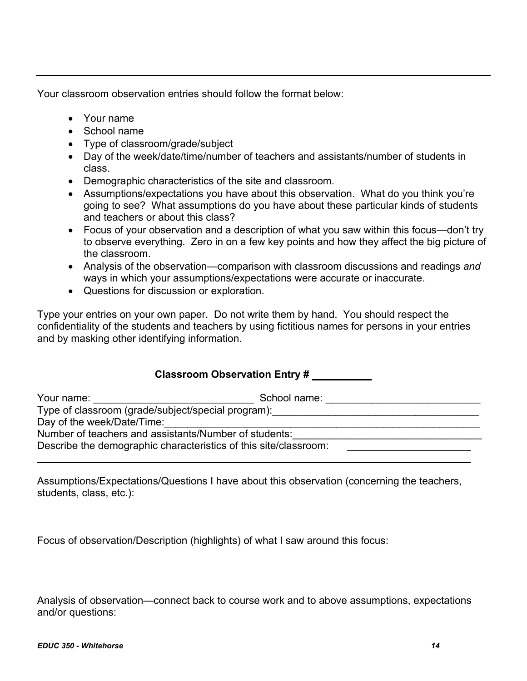Your classroom observation entries should follow the format below:

- Your name
- School name
- Type of classroom/grade/subject
- Day of the week/date/time/number of teachers and assistants/number of students in class.
- Demographic characteristics of the site and classroom.
- Assumptions/expectations you have about this observation. What do you think you're going to see? What assumptions do you have about these particular kinds of students and teachers or about this class?
- Focus of your observation and a description of what you saw within this focus—don't try to observe everything. Zero in on a few key points and how they affect the big picture of the classroom.
- Analysis of the observation—comparison with classroom discussions and readings *and* ways in which your assumptions/expectations were accurate or inaccurate.
- Questions for discussion or exploration.

Type your entries on your own paper. Do not write them by hand. You should respect the confidentiality of the students and teachers by using fictitious names for persons in your entries and by masking other identifying information.

# **Classroom Observation Entry #**

| Your name:                                                                                            | School name: |
|-------------------------------------------------------------------------------------------------------|--------------|
| Type of classroom (grade/subject/special program): Type of classroom (grade/subject/special program): |              |
| Day of the week/Date/Time:                                                                            |              |
| Number of teachers and assistants/Number of students:                                                 |              |
| Describe the demographic characteristics of this site/classroom:                                      |              |
|                                                                                                       |              |

Assumptions/Expectations/Questions I have about this observation (concerning the teachers, students, class, etc.):

Focus of observation/Description (highlights) of what I saw around this focus:

Analysis of observation—connect back to course work and to above assumptions, expectations and/or questions: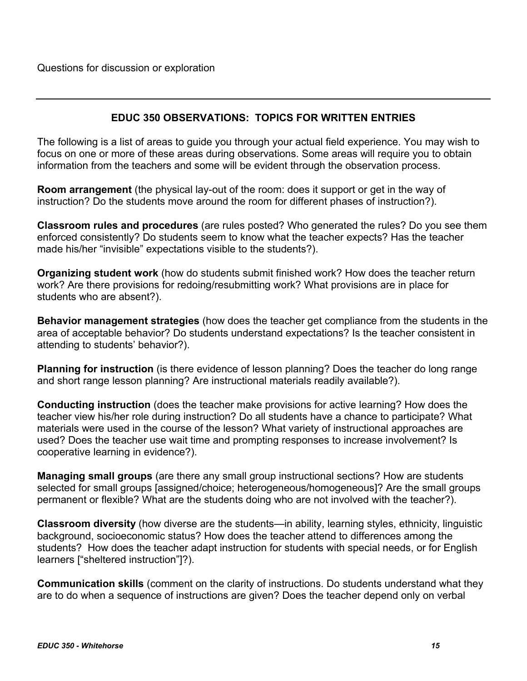# **EDUC 350 OBSERVATIONS: TOPICS FOR WRITTEN ENTRIES**

The following is a list of areas to guide you through your actual field experience. You may wish to focus on one or more of these areas during observations. Some areas will require you to obtain information from the teachers and some will be evident through the observation process.

**Room arrangement** (the physical lay-out of the room: does it support or get in the way of instruction? Do the students move around the room for different phases of instruction?).

**Classroom rules and procedures** (are rules posted? Who generated the rules? Do you see them enforced consistently? Do students seem to know what the teacher expects? Has the teacher made his/her "invisible" expectations visible to the students?).

**Organizing student work** (how do students submit finished work? How does the teacher return work? Are there provisions for redoing/resubmitting work? What provisions are in place for students who are absent?).

**Behavior management strategies** (how does the teacher get compliance from the students in the area of acceptable behavior? Do students understand expectations? Is the teacher consistent in attending to students' behavior?).

**Planning for instruction** (is there evidence of lesson planning? Does the teacher do long range and short range lesson planning? Are instructional materials readily available?).

**Conducting instruction** (does the teacher make provisions for active learning? How does the teacher view his/her role during instruction? Do all students have a chance to participate? What materials were used in the course of the lesson? What variety of instructional approaches are used? Does the teacher use wait time and prompting responses to increase involvement? Is cooperative learning in evidence?).

**Managing small groups** (are there any small group instructional sections? How are students selected for small groups [assigned/choice; heterogeneous/homogeneous]? Are the small groups permanent or flexible? What are the students doing who are not involved with the teacher?).

**Classroom diversity** (how diverse are the students—in ability, learning styles, ethnicity, linguistic background, socioeconomic status? How does the teacher attend to differences among the students? How does the teacher adapt instruction for students with special needs, or for English learners ["sheltered instruction"]?).

**Communication skills** (comment on the clarity of instructions. Do students understand what they are to do when a sequence of instructions are given? Does the teacher depend only on verbal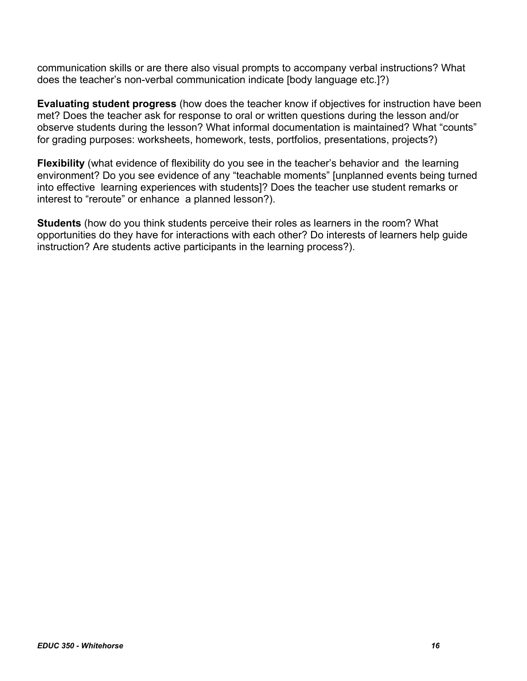communication skills or are there also visual prompts to accompany verbal instructions? What does the teacher's non-verbal communication indicate [body language etc.]?)

**Evaluating student progress** (how does the teacher know if objectives for instruction have been met? Does the teacher ask for response to oral or written questions during the lesson and/or observe students during the lesson? What informal documentation is maintained? What "counts" for grading purposes: worksheets, homework, tests, portfolios, presentations, projects?)

**Flexibility** (what evidence of flexibility do you see in the teacher's behavior and the learning environment? Do you see evidence of any "teachable moments" [unplanned events being turned into effective learning experiences with students]? Does the teacher use student remarks or interest to "reroute" or enhance a planned lesson?).

**Students** (how do you think students perceive their roles as learners in the room? What opportunities do they have for interactions with each other? Do interests of learners help guide instruction? Are students active participants in the learning process?).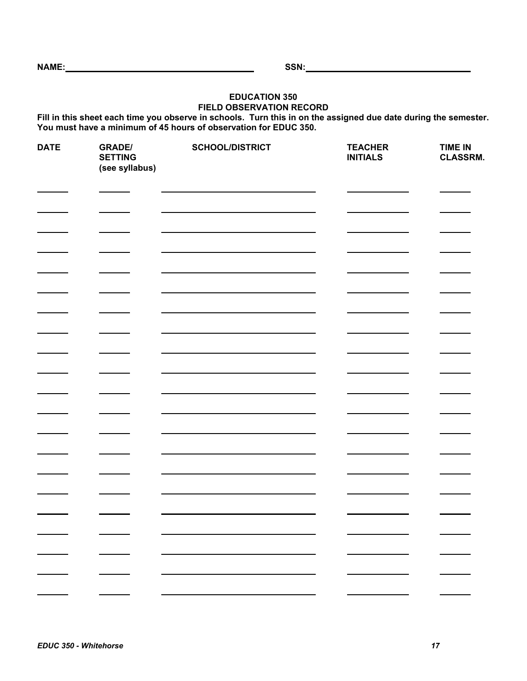#### **EDUCATION 350 FIELD OBSERVATION RECORD**

**Fill in this sheet each time you observe in schools. Turn this in on the assigned due date during the semester. You must have a minimum of 45 hours of observation for EDUC 350.** 

| <b>DATE</b> | <b>GRADE/</b><br><b>SETTING</b><br>(see syllabus) | <b>SCHOOL/DISTRICT</b> | <b>TEACHER</b><br><b>INITIALS</b> | <b>TIME IN</b><br>CLASSRM. |
|-------------|---------------------------------------------------|------------------------|-----------------------------------|----------------------------|
|             |                                                   |                        |                                   |                            |
|             |                                                   |                        |                                   |                            |
|             |                                                   |                        |                                   |                            |
|             | <b>Service State</b>                              |                        |                                   |                            |
|             |                                                   |                        |                                   |                            |
|             |                                                   |                        |                                   |                            |
|             |                                                   |                        |                                   |                            |
|             |                                                   |                        |                                   |                            |
|             |                                                   |                        |                                   |                            |
|             |                                                   |                        |                                   |                            |
|             |                                                   |                        |                                   |                            |
|             |                                                   |                        |                                   |                            |
|             |                                                   |                        |                                   |                            |
|             |                                                   |                        |                                   |                            |
|             |                                                   |                        |                                   |                            |
|             |                                                   |                        |                                   |                            |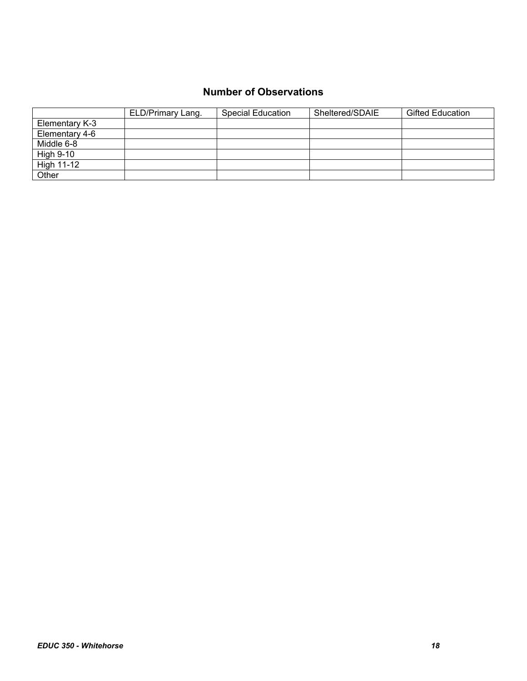# **Number of Observations**

|                | ELD/Primary Lang. | <b>Special Education</b> | Sheltered/SDAIE | <b>Gifted Education</b> |
|----------------|-------------------|--------------------------|-----------------|-------------------------|
| Elementary K-3 |                   |                          |                 |                         |
| Elementary 4-6 |                   |                          |                 |                         |
| Middle 6-8     |                   |                          |                 |                         |
| High 9-10      |                   |                          |                 |                         |
| High 11-12     |                   |                          |                 |                         |
| Other          |                   |                          |                 |                         |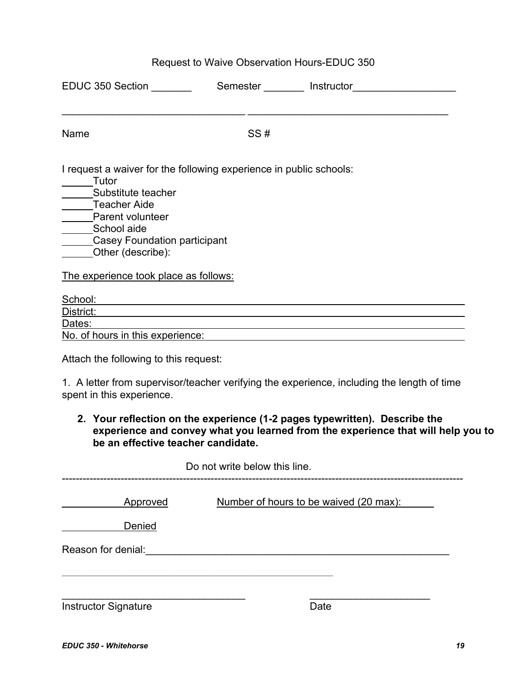# Request to Waive Observation Hours-EDUC 350

| EDUC 350 Section                                                                                                                                                                                                                          |     | Semester Instructor                                                              |  |
|-------------------------------------------------------------------------------------------------------------------------------------------------------------------------------------------------------------------------------------------|-----|----------------------------------------------------------------------------------|--|
| Name                                                                                                                                                                                                                                      | SS# |                                                                                  |  |
| I request a waiver for the following experience in public schools:<br>Tutor<br>Substitute teacher<br>Teacher Aide<br>Parent volunte<br>Parent volunteer<br>_______School aide<br><b>Casey Foundation participant</b><br>Other (describe): |     |                                                                                  |  |
| The experience took place as follows:                                                                                                                                                                                                     |     |                                                                                  |  |
| School:<br><u> 1980 - John Stein, markin sanat markin sa masa sa sanat na markin sa markin sa markin sa markin sa sa sa sa</u>                                                                                                            |     |                                                                                  |  |
| District:                                                                                                                                                                                                                                 |     | ,我们也不会有什么。""我们的人,我们也不会有什么?""我们的人,我们也不会有什么?""我们的人,我们也不会有什么?""我们的人,我们也不会有什么?""我们的人 |  |
| Dates:                                                                                                                                                                                                                                    |     |                                                                                  |  |
| No. of hours in this experience:                                                                                                                                                                                                          |     |                                                                                  |  |
| Attach the following to this request:                                                                                                                                                                                                     |     |                                                                                  |  |
| 1. A letter from supervisor/teacher verifying the experience, including the length of time<br>spent in this experience.                                                                                                                   |     |                                                                                  |  |

**2. Your reflection on the experience (1-2 pages typewritten). Describe the experience and convey what you learned from the experience that will help you to be an effective teacher candidate.** 

|                             | Do not write below this line.          |
|-----------------------------|----------------------------------------|
| Approved                    | Number of hours to be waived (20 max): |
| Denied                      |                                        |
| Reason for denial:          |                                        |
|                             |                                        |
| <b>Instructor Signature</b> | Date                                   |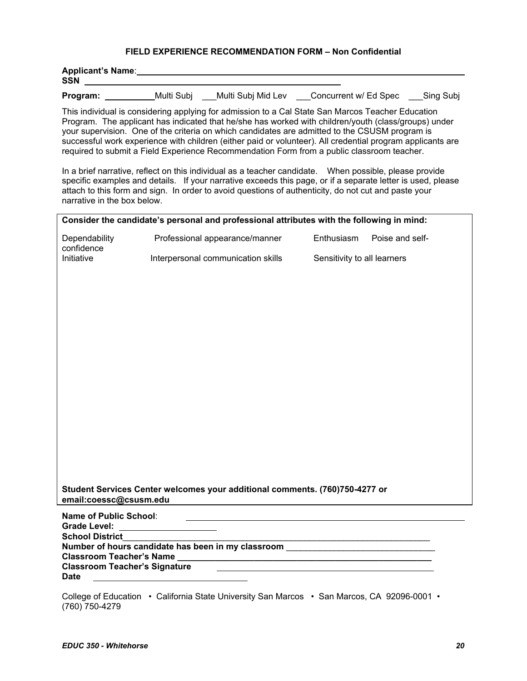#### **FIELD EXPERIENCE RECOMMENDATION FORM – Non Confidential**

| <b>Applicant's Name:</b><br><b>SSN</b> |            |                    |                       |           |
|----------------------------------------|------------|--------------------|-----------------------|-----------|
| Program:                               | Multi Subi | Multi Subj Mid Lev | Concurrent w/ Ed Spec | Sing Subj |

This individual is considering applying for admission to a Cal State San Marcos Teacher Education Program. The applicant has indicated that he/she has worked with children/youth (class/groups) under your supervision. One of the criteria on which candidates are admitted to the CSUSM program is successful work experience with children (either paid or volunteer). All credential program applicants are required to submit a Field Experience Recommendation Form from a public classroom teacher.

 In a brief narrative, reflect on this individual as a teacher candidate. When possible, please provide specific examples and details. If your narrative exceeds this page, or if a separate letter is used, please attach to this form and sign. In order to avoid questions of authenticity, do not cut and paste your narrative in the box below.

| Consider the candidate's personal and professional attributes with the following in mind:             |                                                         |                                                           |                             |  |  |
|-------------------------------------------------------------------------------------------------------|---------------------------------------------------------|-----------------------------------------------------------|-----------------------------|--|--|
| Dependability<br>confidence                                                                           | Professional appearance/manner                          | Enthusiasm                                                | Poise and self-             |  |  |
| Initiative                                                                                            | Interpersonal communication skills                      |                                                           | Sensitivity to all learners |  |  |
|                                                                                                       |                                                         |                                                           |                             |  |  |
|                                                                                                       |                                                         |                                                           |                             |  |  |
|                                                                                                       |                                                         |                                                           |                             |  |  |
|                                                                                                       |                                                         |                                                           |                             |  |  |
|                                                                                                       |                                                         |                                                           |                             |  |  |
|                                                                                                       |                                                         |                                                           |                             |  |  |
|                                                                                                       |                                                         |                                                           |                             |  |  |
|                                                                                                       |                                                         |                                                           |                             |  |  |
|                                                                                                       |                                                         |                                                           |                             |  |  |
|                                                                                                       |                                                         |                                                           |                             |  |  |
|                                                                                                       |                                                         |                                                           |                             |  |  |
|                                                                                                       |                                                         |                                                           |                             |  |  |
|                                                                                                       |                                                         |                                                           |                             |  |  |
| Student Services Center welcomes your additional comments. (760)750-4277 or<br>email:coessc@csusm.edu |                                                         |                                                           |                             |  |  |
| <b>Name of Public School:</b>                                                                         | <u> 1980 - Johann Barnett, fransk politik (d. 1980)</u> |                                                           |                             |  |  |
| Grade Level: _____________________                                                                    |                                                         |                                                           |                             |  |  |
| <b>School District</b>                                                                                |                                                         | <u> 1989 - Johann Barbara, martxa alemaniar a</u>         |                             |  |  |
| Number of hours candidate has been in my classroom _____________________________                      |                                                         |                                                           |                             |  |  |
| <b>Classroom Teacher's Signature</b>                                                                  |                                                         | <u> 1989 - Johann Barnett, fransk politiker (d. 1989)</u> |                             |  |  |

**Date**

College of Education • California State University San Marcos • San Marcos, CA 92096-0001 • (760) 750-4279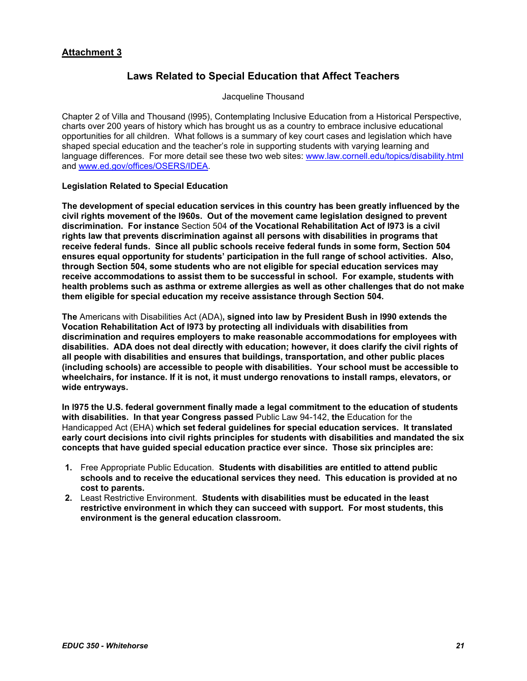## **Attachment 3**

# **Laws Related to Special Education that Affect Teachers**

Jacqueline Thousand

Chapter 2 of Villa and Thousand (l995), Contemplating Inclusive Education from a Historical Perspective, charts over 200 years of history which has brought us as a country to embrace inclusive educational opportunities for all children. What follows is a summary of key court cases and legislation which have shaped special education and the teacher's role in supporting students with varying learning and language differences. For more detail see these two web sites: www.law.cornell.edu/topics/disability.html and www.ed.gov/offices/OSERS/IDEA.

#### **Legislation Related to Special Education**

**The development of special education services in this country has been greatly influenced by the civil rights movement of the l960s. Out of the movement came legislation designed to prevent discrimination. For instance** Section 504 **of the Vocational Rehabilitation Act of l973 is a civil rights law that prevents discrimination against all persons with disabilities in programs that receive federal funds. Since all public schools receive federal funds in some form, Section 504 ensures equal opportunity for students' participation in the full range of school activities. Also, through Section 504, some students who are not eligible for special education services may receive accommodations to assist them to be successful in school. For example, students with health problems such as asthma or extreme allergies as well as other challenges that do not make them eligible for special education my receive assistance through Section 504.** 

**The** Americans with Disabilities Act (ADA)**, signed into law by President Bush in l990 extends the Vocation Rehabilitation Act of l973 by protecting all individuals with disabilities from discrimination and requires employers to make reasonable accommodations for employees with disabilities. ADA does not deal directly with education; however, it does clarify the civil rights of all people with disabilities and ensures that buildings, transportation, and other public places (including schools) are accessible to people with disabilities. Your school must be accessible to wheelchairs, for instance. If it is not, it must undergo renovations to install ramps, elevators, or wide entryways.** 

**In l975 the U.S. federal government finally made a legal commitment to the education of students with disabilities. In that year Congress passed** Public Law 94-142, **the** Education for the Handicapped Act (EHA) **which set federal guidelines for special education services. It translated early court decisions into civil rights principles for students with disabilities and mandated the six concepts that have guided special education practice ever since. Those six principles are:** 

- **1.** Free Appropriate Public Education. **Students with disabilities are entitled to attend public schools and to receive the educational services they need. This education is provided at no cost to parents.**
- **2.** Least Restrictive Environment. **Students with disabilities must be educated in the least restrictive environment in which they can succeed with support. For most students, this environment is the general education classroom.**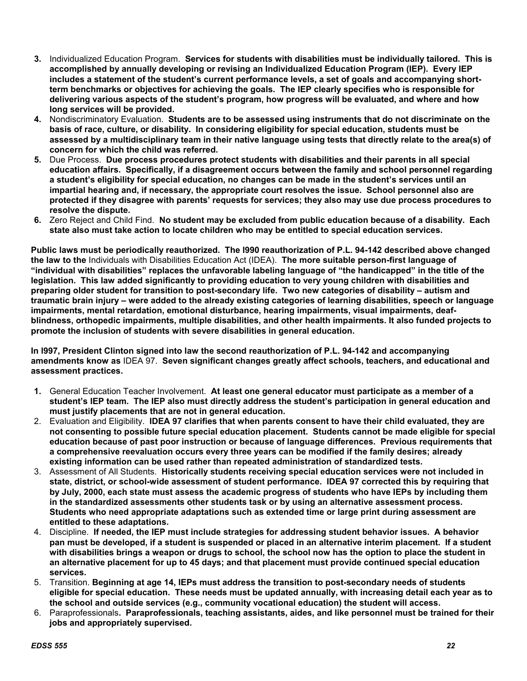- **3.** Individualized Education Program. **Services for students with disabilities must be individually tailored. This is accomplished by annually developing or revising an Individualized Education Program (IEP). Every IEP includes a statement of the student's current performance levels, a set of goals and accompanying shortterm benchmarks or objectives for achieving the goals. The IEP clearly specifies who is responsible for delivering various aspects of the student's program, how progress will be evaluated, and where and how long services will be provided.**
- **4.** Nondiscriminatory Evaluation. **Students are to be assessed using instruments that do not discriminate on the basis of race, culture, or disability. In considering eligibility for special education, students must be assessed by a multidisciplinary team in their native language using tests that directly relate to the area(s) of concern for which the child was referred.**
- **5.** Due Process. **Due process procedures protect students with disabilities and their parents in all special education affairs. Specifically, if a disagreement occurs between the family and school personnel regarding a student's eligibility for special education, no changes can be made in the student's services until an impartial hearing and, if necessary, the appropriate court resolves the issue. School personnel also are protected if they disagree with parents' requests for services; they also may use due process procedures to resolve the dispute.**
- **6.** Zero Reject and Child Find. **No student may be excluded from public education because of a disability. Each state also must take action to locate children who may be entitled to special education services.**

**Public laws must be periodically reauthorized. The l990 reauthorization of P.L. 94-142 described above changed the law to the** Individuals with Disabilities Education Act (IDEA). **The more suitable person-first language of "individual with disabilities" replaces the unfavorable labeling language of "the handicapped" in the title of the legislation. This law added significantly to providing education to very young children with disabilities and preparing older student for transition to post-secondary life. Two new categories of disability – autism and traumatic brain injury – were added to the already existing categories of learning disabilities, speech or language impairments, mental retardation, emotional disturbance, hearing impairments, visual impairments, deafblindness, orthopedic impairments, multiple disabilities, and other health impairments. It also funded projects to promote the inclusion of students with severe disabilities in general education.** 

**In l997, President Clinton signed into law the second reauthorization of P.L. 94-142 and accompanying amendments know as** IDEA 97. **Seven significant changes greatly affect schools, teachers, and educational and assessment practices.** 

- **1.** General Education Teacher Involvement. **At least one general educator must participate as a member of a student's IEP team. The IEP also must directly address the student's participation in general education and must justify placements that are not in general education.**
- 2. Evaluation and Eligibility. **IDEA 97 clarifies that when parents consent to have their child evaluated, they are not consenting to possible future special education placement. Students cannot be made eligible for special education because of past poor instruction or because of language differences. Previous requirements that a comprehensive reevaluation occurs every three years can be modified if the family desires; already existing information can be used rather than repeated administration of standardized tests.**
- 3. Assessment of All Students. **Historically students receiving special education services were not included in state, district, or school-wide assessment of student performance. IDEA 97 corrected this by requiring that by July, 2000, each state must assess the academic progress of students who have IEPs by including them in the standardized assessments other students task or by using an alternative assessment process. Students who need appropriate adaptations such as extended time or large print during assessment are entitled to these adaptations.**
- 4. Discipline. **If needed, the IEP must include strategies for addressing student behavior issues. A behavior pan must be developed, if a student is suspended or placed in an alternative interim placement. If a student with disabilities brings a weapon or drugs to school, the school now has the option to place the student in an alternative placement for up to 45 days; and that placement must provide continued special education services.**
- 5. Transition. **Beginning at age 14, IEPs must address the transition to post-secondary needs of students eligible for special education. These needs must be updated annually, with increasing detail each year as to the school and outside services (e.g., community vocational education) the student will access.**
- 6. Paraprofessionals**. Paraprofessionals, teaching assistants, aides, and like personnel must be trained for their jobs and appropriately supervised.**